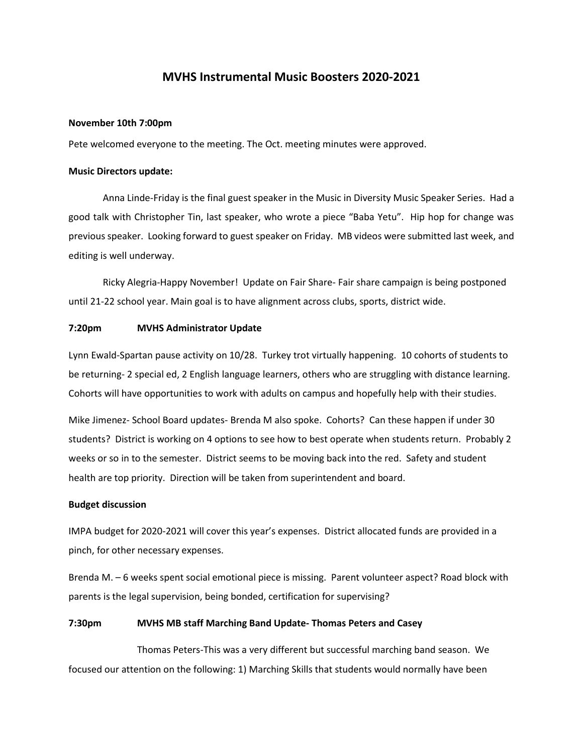# **MVHS Instrumental Music Boosters 2020-2021**

#### **November 10th 7:00pm**

Pete welcomed everyone to the meeting. The Oct. meeting minutes were approved.

## **Music Directors update:**

Anna Linde-Friday is the final guest speaker in the Music in Diversity Music Speaker Series. Had a good talk with Christopher Tin, last speaker, who wrote a piece "Baba Yetu". Hip hop for change was previous speaker. Looking forward to guest speaker on Friday. MB videos were submitted last week, and editing is well underway.

Ricky Alegria-Happy November! Update on Fair Share- Fair share campaign is being postponed until 21-22 school year. Main goal is to have alignment across clubs, sports, district wide.

## **7:20pm MVHS Administrator Update**

Lynn Ewald-Spartan pause activity on 10/28. Turkey trot virtually happening. 10 cohorts of students to be returning- 2 special ed, 2 English language learners, others who are struggling with distance learning. Cohorts will have opportunities to work with adults on campus and hopefully help with their studies.

Mike Jimenez- School Board updates- Brenda M also spoke. Cohorts? Can these happen if under 30 students? District is working on 4 options to see how to best operate when students return. Probably 2 weeks or so in to the semester. District seems to be moving back into the red. Safety and student health are top priority. Direction will be taken from superintendent and board.

## **Budget discussion**

IMPA budget for 2020-2021 will cover this year's expenses. District allocated funds are provided in a pinch, for other necessary expenses.

Brenda M. – 6 weeks spent social emotional piece is missing. Parent volunteer aspect? Road block with parents is the legal supervision, being bonded, certification for supervising?

### **7:30pm MVHS MB staff Marching Band Update- Thomas Peters and Casey**

Thomas Peters-This was a very different but successful marching band season. We focused our attention on the following: 1) Marching Skills that students would normally have been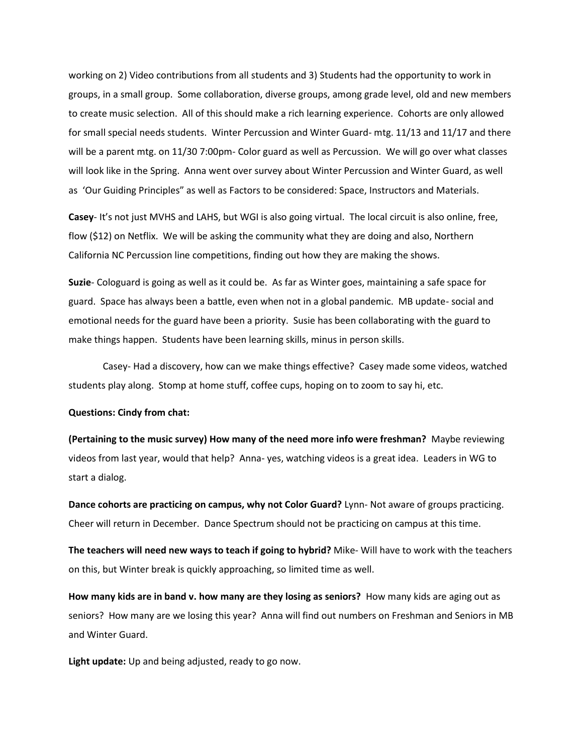working on 2) Video contributions from all students and 3) Students had the opportunity to work in groups, in a small group. Some collaboration, diverse groups, among grade level, old and new members to create music selection. All of this should make a rich learning experience. Cohorts are only allowed for small special needs students. Winter Percussion and Winter Guard- mtg. 11/13 and 11/17 and there will be a parent mtg. on 11/30 7:00pm- Color guard as well as Percussion. We will go over what classes will look like in the Spring. Anna went over survey about Winter Percussion and Winter Guard, as well as 'Our Guiding Principles" as well as Factors to be considered: Space, Instructors and Materials.

**Casey**- It's not just MVHS and LAHS, but WGI is also going virtual. The local circuit is also online, free, flow (\$12) on Netflix. We will be asking the community what they are doing and also, Northern California NC Percussion line competitions, finding out how they are making the shows.

**Suzie**- Cologuard is going as well as it could be. As far as Winter goes, maintaining a safe space for guard. Space has always been a battle, even when not in a global pandemic. MB update- social and emotional needs for the guard have been a priority. Susie has been collaborating with the guard to make things happen. Students have been learning skills, minus in person skills.

Casey- Had a discovery, how can we make things effective? Casey made some videos, watched students play along. Stomp at home stuff, coffee cups, hoping on to zoom to say hi, etc.

#### **Questions: Cindy from chat:**

**(Pertaining to the music survey) How many of the need more info were freshman?** Maybe reviewing videos from last year, would that help? Anna- yes, watching videos is a great idea. Leaders in WG to start a dialog.

**Dance cohorts are practicing on campus, why not Color Guard?** Lynn- Not aware of groups practicing. Cheer will return in December. Dance Spectrum should not be practicing on campus at this time.

**The teachers will need new ways to teach if going to hybrid?** Mike- Will have to work with the teachers on this, but Winter break is quickly approaching, so limited time as well.

**How many kids are in band v. how many are they losing as seniors?** How many kids are aging out as seniors? How many are we losing this year? Anna will find out numbers on Freshman and Seniors in MB and Winter Guard.

**Light update:** Up and being adjusted, ready to go now.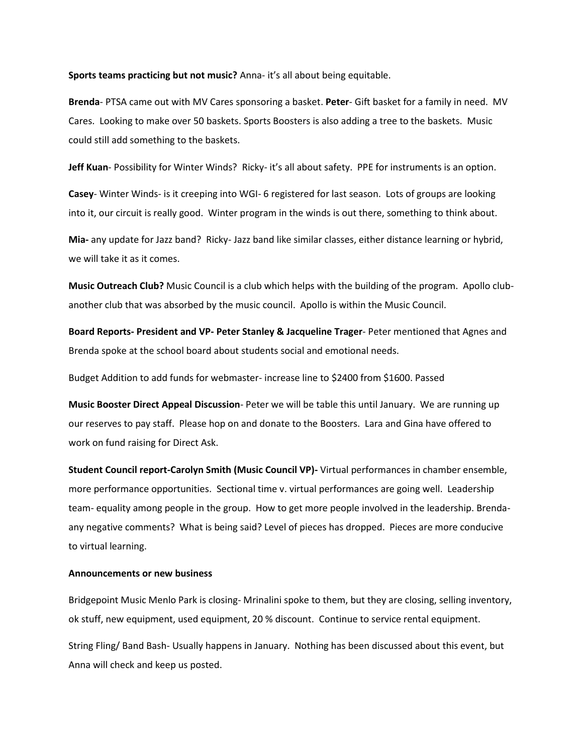**Sports teams practicing but not music?** Anna- it's all about being equitable.

**Brenda**- PTSA came out with MV Cares sponsoring a basket. **Peter**- Gift basket for a family in need. MV Cares. Looking to make over 50 baskets. Sports Boosters is also adding a tree to the baskets. Music could still add something to the baskets.

**Jeff Kuan**- Possibility for Winter Winds? Ricky- it's all about safety. PPE for instruments is an option.

**Casey**- Winter Winds- is it creeping into WGI- 6 registered for last season. Lots of groups are looking into it, our circuit is really good. Winter program in the winds is out there, something to think about.

**Mia-** any update for Jazz band? Ricky- Jazz band like similar classes, either distance learning or hybrid, we will take it as it comes.

**Music Outreach Club?** Music Council is a club which helps with the building of the program. Apollo clubanother club that was absorbed by the music council. Apollo is within the Music Council.

**Board Reports- President and VP- Peter Stanley & Jacqueline Trager**- Peter mentioned that Agnes and Brenda spoke at the school board about students social and emotional needs.

Budget Addition to add funds for webmaster- increase line to \$2400 from \$1600. Passed

**Music Booster Direct Appeal Discussion**- Peter we will be table this until January. We are running up our reserves to pay staff. Please hop on and donate to the Boosters. Lara and Gina have offered to work on fund raising for Direct Ask.

**Student Council report-Carolyn Smith (Music Council VP)-** Virtual performances in chamber ensemble, more performance opportunities. Sectional time v. virtual performances are going well. Leadership team- equality among people in the group. How to get more people involved in the leadership. Brendaany negative comments? What is being said? Level of pieces has dropped. Pieces are more conducive to virtual learning.

#### **Announcements or new business**

Bridgepoint Music Menlo Park is closing- Mrinalini spoke to them, but they are closing, selling inventory, ok stuff, new equipment, used equipment, 20 % discount. Continue to service rental equipment.

String Fling/ Band Bash- Usually happens in January. Nothing has been discussed about this event, but Anna will check and keep us posted.